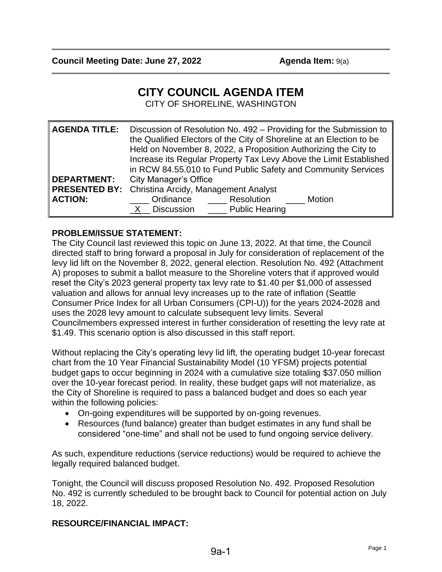# **CITY COUNCIL AGENDA ITEM**

CITY OF SHORELINE, WASHINGTON

| <b>AGENDA TITLE:</b> | Discussion of Resolution No. 492 – Providing for the Submission to<br>the Qualified Electors of the City of Shoreline at an Election to be<br>Held on November 8, 2022, a Proposition Authorizing the City to<br>Increase its Regular Property Tax Levy Above the Limit Established<br>in RCW 84.55.010 to Fund Public Safety and Community Services |
|----------------------|------------------------------------------------------------------------------------------------------------------------------------------------------------------------------------------------------------------------------------------------------------------------------------------------------------------------------------------------------|
| <b>DEPARTMENT:</b>   | <b>City Manager's Office</b>                                                                                                                                                                                                                                                                                                                         |
| <b>PRESENTED BY:</b> | Christina Arcidy, Management Analyst                                                                                                                                                                                                                                                                                                                 |
| <b>ACTION:</b>       | Resolution<br>Ordinance<br>Motion<br><b>Normally</b> Public Hearing<br>X Discussion                                                                                                                                                                                                                                                                  |

# **PROBLEM/ISSUE STATEMENT:**

The City Council last reviewed this topic on June 13, 2022. At that time, the Council directed staff to bring forward a proposal in July for consideration of replacement of the levy lid lift on the November 8, 2022, general election. Resolution No. 492 (Attachment A) proposes to submit a ballot measure to the Shoreline voters that if approved would reset the City's 2023 general property tax levy rate to \$1.40 per \$1,000 of assessed valuation and allows for annual levy increases up to the rate of inflation (Seattle Consumer Price Index for all Urban Consumers (CPI-U)) for the years 2024-2028 and uses the 2028 levy amount to calculate subsequent levy limits. Several Councilmembers expressed interest in further consideration of resetting the levy rate at \$1.49. This scenario option is also discussed in this staff report.

Without replacing the City's operating levy lid lift, the operating budget 10-year forecast chart from the 10 Year Financial Sustainability Model (10 YFSM) projects potential budget gaps to occur beginning in 2024 with a cumulative size totaling \$37.050 million over the 10-year forecast period. In reality, these budget gaps will not materialize, as the City of Shoreline is required to pass a balanced budget and does so each year within the following policies:

- On-going expenditures will be supported by on-going revenues.
- Resources (fund balance) greater than budget estimates in any fund shall be considered "one-time" and shall not be used to fund ongoing service delivery.

As such, expenditure reductions (service reductions) would be required to achieve the legally required balanced budget.

Tonight, the Council will discuss proposed Resolution No. 492. Proposed Resolution No. 492 is currently scheduled to be brought back to Council for potential action on July 18, 2022.

## **RESOURCE/FINANCIAL IMPACT:**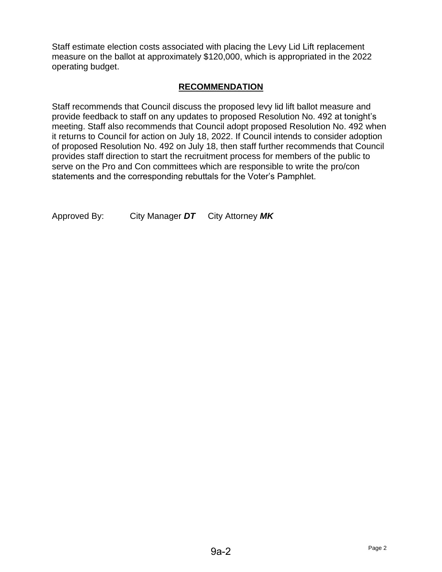Staff estimate election costs associated with placing the Levy Lid Lift replacement measure on the ballot at approximately \$120,000, which is appropriated in the 2022 operating budget.

# **RECOMMENDATION**

Staff recommends that Council discuss the proposed levy lid lift ballot measure and provide feedback to staff on any updates to proposed Resolution No. 492 at tonight's meeting. Staff also recommends that Council adopt proposed Resolution No. 492 when it returns to Council for action on July 18, 2022. If Council intends to consider adoption of proposed Resolution No. 492 on July 18, then staff further recommends that Council provides staff direction to start the recruitment process for members of the public to serve on the Pro and Con committees which are responsible to write the pro/con statements and the corresponding rebuttals for the Voter's Pamphlet.

Approved By: City Manager *DT* City Attorney *MK*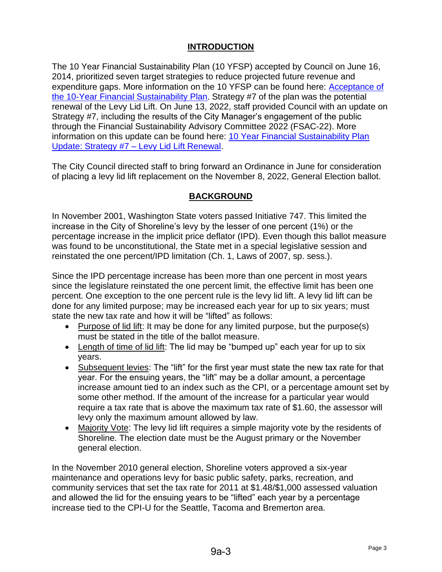# **INTRODUCTION**

The 10 Year Financial Sustainability Plan (10 YFSP) accepted by Council on June 16, 2014, prioritized seven target strategies to reduce projected future revenue and expenditure gaps. More information on the 10 YFSP can be found here: [Acceptance of](http://www.shorelinewa.gov/home/showdocument?id=19755)  [the 10-Year Financial Sustainability Plan](http://www.shorelinewa.gov/home/showdocument?id=19755). Strategy #7 of the plan was the potential renewal of the Levy Lid Lift. On June 13, 2022, staff provided Council with an update on Strategy #7, including the results of the City Manager's engagement of the public through the Financial Sustainability Advisory Committee 2022 (FSAC-22). More information on this update can be found here: [10 Year Financial Sustainability Plan](http://cosweb.ci.shoreline.wa.us/uploads/attachments/cck/council/staffreports/2022/staffreport061322-8b.pdf)  [Update: Strategy #7 –](http://cosweb.ci.shoreline.wa.us/uploads/attachments/cck/council/staffreports/2022/staffreport061322-8b.pdf) Levy Lid Lift Renewal.

The City Council directed staff to bring forward an Ordinance in June for consideration of placing a levy lid lift replacement on the November 8, 2022, General Election ballot.

# **BACKGROUND**

In November 2001, Washington State voters passed Initiative 747. This limited the increase in the City of Shoreline's levy by the lesser of one percent (1%) or the percentage increase in the implicit price deflator (IPD). Even though this ballot measure was found to be unconstitutional, the State met in a special legislative session and reinstated the one percent/IPD limitation (Ch. 1, Laws of 2007, sp. sess.).

Since the IPD percentage increase has been more than one percent in most years since the legislature reinstated the one percent limit, the effective limit has been one percent. One exception to the one percent rule is the levy lid lift. A levy lid lift can be done for any limited purpose; may be increased each year for up to six years; must state the new tax rate and how it will be "lifted" as follows:

- Purpose of lid lift: It may be done for any limited purpose, but the purpose(s) must be stated in the title of the ballot measure.
- Length of time of lid lift: The lid may be "bumped up" each year for up to six years.
- Subsequent levies: The "lift" for the first year must state the new tax rate for that year. For the ensuing years, the "lift" may be a dollar amount, a percentage increase amount tied to an index such as the CPI, or a percentage amount set by some other method. If the amount of the increase for a particular year would require a tax rate that is above the maximum tax rate of \$1.60, the assessor will levy only the maximum amount allowed by law.
- Majority Vote: The levy lid lift requires a simple majority vote by the residents of Shoreline. The election date must be the August primary or the November general election.

In the November 2010 general election, Shoreline voters approved a six-year maintenance and operations levy for basic public safety, parks, recreation, and community services that set the tax rate for 2011 at \$1.48/\$1,000 assessed valuation and allowed the lid for the ensuing years to be "lifted" each year by a percentage increase tied to the CPI-U for the Seattle, Tacoma and Bremerton area.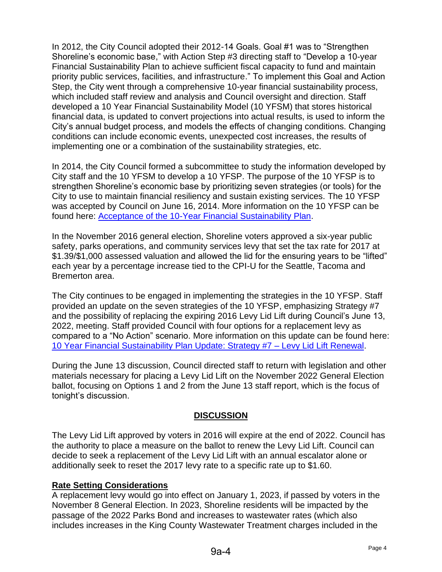In 2012, the City Council adopted their 2012-14 Goals. Goal #1 was to "Strengthen Shoreline's economic base," with Action Step #3 directing staff to "Develop a 10-year Financial Sustainability Plan to achieve sufficient fiscal capacity to fund and maintain priority public services, facilities, and infrastructure." To implement this Goal and Action Step, the City went through a comprehensive 10-year financial sustainability process, which included staff review and analysis and Council oversight and direction. Staff developed a 10 Year Financial Sustainability Model (10 YFSM) that stores historical financial data, is updated to convert projections into actual results, is used to inform the City's annual budget process, and models the effects of changing conditions. Changing conditions can include economic events, unexpected cost increases, the results of implementing one or a combination of the sustainability strategies, etc.

In 2014, the City Council formed a subcommittee to study the information developed by City staff and the 10 YFSM to develop a 10 YFSP. The purpose of the 10 YFSP is to strengthen Shoreline's economic base by prioritizing seven strategies (or tools) for the City to use to maintain financial resiliency and sustain existing services. The 10 YFSP was accepted by Council on June 16, 2014. More information on the 10 YFSP can be found here: [Acceptance of the 10-Year Financial Sustainability Plan.](http://www.shorelinewa.gov/home/showdocument?id=19755)

In the November 2016 general election, Shoreline voters approved a six-year public safety, parks operations, and community services levy that set the tax rate for 2017 at \$1.39/\$1,000 assessed valuation and allowed the lid for the ensuring years to be "lifted" each year by a percentage increase tied to the CPI-U for the Seattle, Tacoma and Bremerton area.

The City continues to be engaged in implementing the strategies in the 10 YFSP. Staff provided an update on the seven strategies of the 10 YFSP, emphasizing Strategy #7 and the possibility of replacing the expiring 2016 Levy Lid Lift during Council's June 13, 2022, meeting. Staff provided Council with four options for a replacement levy as compared to a "No Action" scenario. More information on this update can be found here: [10 Year Financial Sustainability Plan Update: Strategy #7 –](http://cosweb.ci.shoreline.wa.us/uploads/attachments/cck/council/staffreports/2022/staffreport061322-8b.pdf) Levy Lid Lift Renewal.

During the June 13 discussion, Council directed staff to return with legislation and other materials necessary for placing a Levy Lid Lift on the November 2022 General Election ballot, focusing on Options 1 and 2 from the June 13 staff report, which is the focus of tonight's discussion.

## **DISCUSSION**

The Levy Lid Lift approved by voters in 2016 will expire at the end of 2022. Council has the authority to place a measure on the ballot to renew the Levy Lid Lift. Council can decide to seek a replacement of the Levy Lid Lift with an annual escalator alone or additionally seek to reset the 2017 levy rate to a specific rate up to \$1.60.

## **Rate Setting Considerations**

A replacement levy would go into effect on January 1, 2023, if passed by voters in the November 8 General Election. In 2023, Shoreline residents will be impacted by the passage of the 2022 Parks Bond and increases to wastewater rates (which also includes increases in the King County Wastewater Treatment charges included in the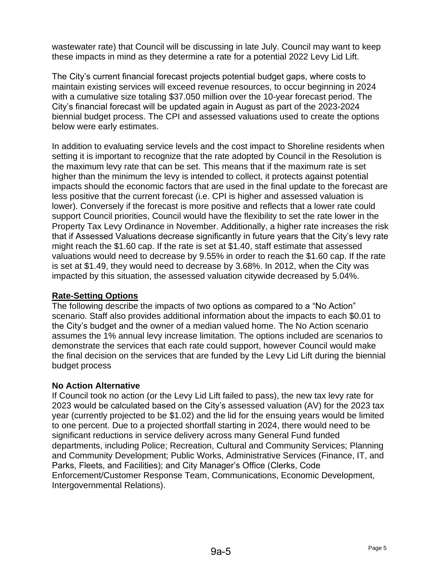wastewater rate) that Council will be discussing in late July. Council may want to keep these impacts in mind as they determine a rate for a potential 2022 Levy Lid Lift.

The City's current financial forecast projects potential budget gaps, where costs to maintain existing services will exceed revenue resources, to occur beginning in 2024 with a cumulative size totaling \$37,050 million over the 10-year forecast period. The City's financial forecast will be updated again in August as part of the 2023-2024 biennial budget process. The CPI and assessed valuations used to create the options below were early estimates.

In addition to evaluating service levels and the cost impact to Shoreline residents when setting it is important to recognize that the rate adopted by Council in the Resolution is the maximum levy rate that can be set. This means that if the maximum rate is set higher than the minimum the levy is intended to collect, it protects against potential impacts should the economic factors that are used in the final update to the forecast are less positive that the current forecast (i.e. CPI is higher and assessed valuation is lower). Conversely if the forecast is more positive and reflects that a lower rate could support Council priorities, Council would have the flexibility to set the rate lower in the Property Tax Levy Ordinance in November. Additionally, a higher rate increases the risk that if Assessed Valuations decrease significantly in future years that the City's levy rate might reach the \$1.60 cap. If the rate is set at \$1.40, staff estimate that assessed valuations would need to decrease by 9.55% in order to reach the \$1.60 cap. If the rate is set at \$1.49, they would need to decrease by 3.68%. In 2012, when the City was impacted by this situation, the assessed valuation citywide decreased by 5.04%.

# **Rate-Setting Options**

The following describe the impacts of two options as compared to a "No Action" scenario. Staff also provides additional information about the impacts to each \$0.01 to the City's budget and the owner of a median valued home. The No Action scenario assumes the 1% annual levy increase limitation. The options included are scenarios to demonstrate the services that each rate could support, however Council would make the final decision on the services that are funded by the Levy Lid Lift during the biennial budget process

# **No Action Alternative**

If Council took no action (or the Levy Lid Lift failed to pass), the new tax levy rate for 2023 would be calculated based on the City's assessed valuation (AV) for the 2023 tax year (currently projected to be \$1.02) and the lid for the ensuing years would be limited to one percent. Due to a projected shortfall starting in 2024, there would need to be significant reductions in service delivery across many General Fund funded departments, including Police; Recreation, Cultural and Community Services; Planning and Community Development; Public Works, Administrative Services (Finance, IT, and Parks, Fleets, and Facilities); and City Manager's Office (Clerks, Code Enforcement/Customer Response Team, Communications, Economic Development, Intergovernmental Relations).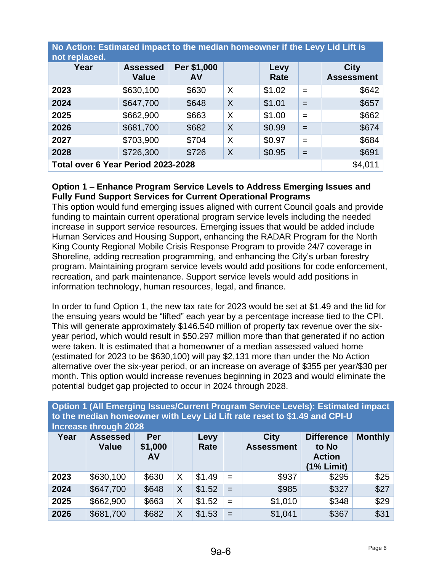| No Action: Estimated impact to the median homeowner if the Levy Lid Lift is<br>not replaced. |                                 |                   |          |              |     |                                  |  |
|----------------------------------------------------------------------------------------------|---------------------------------|-------------------|----------|--------------|-----|----------------------------------|--|
| Year                                                                                         | <b>Assessed</b><br><b>Value</b> | Per \$1,000<br>AV |          | Levy<br>Rate |     | <b>City</b><br><b>Assessment</b> |  |
| 2023                                                                                         | \$630,100                       | \$630             | $\times$ | \$1.02       | $=$ | \$642                            |  |
| 2024                                                                                         | \$647,700                       | \$648             | $\times$ | \$1.01       | $=$ | \$657                            |  |
| 2025                                                                                         | \$662,900                       | \$663             | $\times$ | \$1.00       | $=$ | \$662                            |  |
| 2026                                                                                         | \$681,700                       | \$682             | $\times$ | \$0.99       | $=$ | \$674                            |  |
| 2027                                                                                         | \$703,900                       | \$704             | $\times$ | \$0.97       | $=$ | \$684                            |  |
| 2028                                                                                         | \$726,300                       | \$726             | $\times$ | \$0.95       | $=$ | \$691                            |  |
| Total over 6 Year Period 2023-2028                                                           | \$4,011                         |                   |          |              |     |                                  |  |

# **Option 1 – Enhance Program Service Levels to Address Emerging Issues and Fully Fund Support Services for Current Operational Programs**

This option would fund emerging issues aligned with current Council goals and provide funding to maintain current operational program service levels including the needed increase in support service resources. Emerging issues that would be added include Human Services and Housing Support, enhancing the RADAR Program for the North King County Regional Mobile Crisis Response Program to provide 24/7 coverage in Shoreline, adding recreation programming, and enhancing the City's urban forestry program. Maintaining program service levels would add positions for code enforcement, recreation, and park maintenance. Support service levels would add positions in information technology, human resources, legal, and finance.

In order to fund Option 1, the new tax rate for 2023 would be set at \$1.49 and the lid for the ensuing years would be "lifted" each year by a percentage increase tied to the CPI. This will generate approximately \$146.540 million of property tax revenue over the sixyear period, which would result in \$50.297 million more than that generated if no action were taken. It is estimated that a homeowner of a median assessed valued home (estimated for 2023 to be \$630,100) will pay \$2,131 more than under the No Action alternative over the six-year period, or an increase on average of \$355 per year/\$30 per month. This option would increase revenues beginning in 2023 and would eliminate the potential budget gap projected to occur in 2024 through 2028.

| <b>Increase through 2028</b> |                                 |                      |   |              |     |                                  |                                                             |                |
|------------------------------|---------------------------------|----------------------|---|--------------|-----|----------------------------------|-------------------------------------------------------------|----------------|
| Year                         | <b>Assessed</b><br><b>Value</b> | Per<br>\$1,000<br>AV |   | Levy<br>Rate |     | <b>City</b><br><b>Assessment</b> | <b>Difference</b><br>to No<br><b>Action</b><br>$(1%$ Limit) | <b>Monthly</b> |
| 2023                         | \$630,100                       | \$630                | X | \$1.49       | $=$ | \$937                            | \$295                                                       | \$25           |
| 2024                         | \$647,700                       | \$648                | X | \$1.52       | $=$ | \$985                            | \$327                                                       | \$27           |
| 2025                         | \$662,900                       | \$663                | X | \$1.52       | $=$ | \$1,010                          | \$348                                                       | \$29           |
| 2026                         | \$681,700                       | \$682                | X | \$1.53       | $=$ | \$1,041                          | \$367                                                       | \$31           |

**Option 1 (All Emerging Issues/Current Program Service Levels): Estimated impact to the median homeowner with Levy Lid Lift rate reset to** \$**1.49 and CPI-U**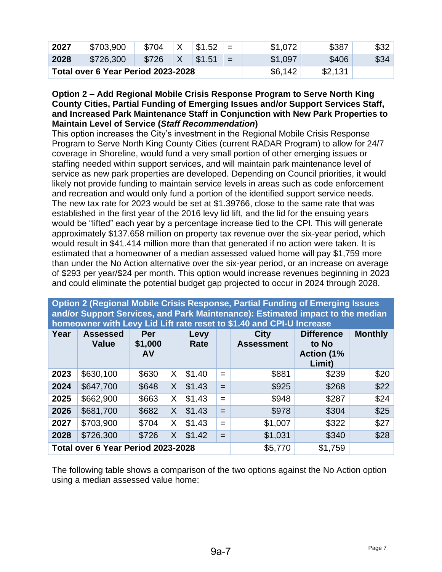| 2027 | \$703,900                          | \$704 | \$1.52 | $\overline{\phantom{0}}$<br>- | \$1,072 | \$387   | \$32 |
|------|------------------------------------|-------|--------|-------------------------------|---------|---------|------|
| 2028 | \$726,300                          | \$726 | \$1.51 | $=$                           | \$1,097 | \$406   | \$34 |
|      | Total over 6 Year Period 2023-2028 |       |        |                               | \$6,142 | \$2,131 |      |

### **Option 2 – Add Regional Mobile Crisis Response Program to Serve North King County Cities, Partial Funding of Emerging Issues and/or Support Services Staff, and Increased Park Maintenance Staff in Conjunction with New Park Properties to Maintain Level of Service (***Staff Recommendation***)**

This option increases the City's investment in the Regional Mobile Crisis Response Program to Serve North King County Cities (current RADAR Program) to allow for 24/7 coverage in Shoreline, would fund a very small portion of other emerging issues or staffing needed within support services, and will maintain park maintenance level of service as new park properties are developed. Depending on Council priorities, it would likely not provide funding to maintain service levels in areas such as code enforcement and recreation and would only fund a portion of the identified support service needs. The new tax rate for 2023 would be set at \$1.39766, close to the same rate that was established in the first year of the 2016 levy lid lift, and the lid for the ensuing years would be "lifted" each year by a percentage increase tied to the CPI. This will generate approximately \$137.658 million on property tax revenue over the six-year period, which would result in \$41.414 million more than that generated if no action were taken. It is estimated that a homeowner of a median assessed valued home will pay \$1,759 more than under the No Action alternative over the six-year period, or an increase on average of \$293 per year/\$24 per month. This option would increase revenues beginning in 2023 and could eliminate the potential budget gap projected to occur in 2024 through 2028.

| <b>INTING WILL LEVY LIGHTER ISSUED THE AIR OF THE INDICATE</b> |                                 |                             |   |              |     |                                  |                                                            |                |
|----------------------------------------------------------------|---------------------------------|-----------------------------|---|--------------|-----|----------------------------------|------------------------------------------------------------|----------------|
| Year                                                           | <b>Assessed</b><br><b>Value</b> | Per<br>\$1,000<br><b>AV</b> |   | Levy<br>Rate |     | <b>City</b><br><b>Assessment</b> | <b>Difference</b><br>to No<br><b>Action (1%)</b><br>Limit) | <b>Monthly</b> |
| 2023                                                           | \$630,100                       | \$630                       | X | \$1.40       | $=$ | \$881                            | \$239                                                      | \$20           |
| 2024                                                           | \$647,700                       | \$648                       | X | \$1.43       | $=$ | \$925                            | \$268                                                      | \$22           |
| 2025                                                           | \$662,900                       | \$663                       | X | \$1.43       | $=$ | \$948                            | \$287                                                      | \$24           |
| 2026                                                           | \$681,700                       | \$682                       | X | \$1.43       | $=$ | \$978                            | \$304                                                      | \$25           |
| 2027                                                           | \$703,900                       | \$704                       | X | \$1.43       | $=$ | \$1,007                          | \$322                                                      | \$27           |
| 2028                                                           | \$726,300                       | \$726                       | X | \$1.42       | $=$ | \$1,031                          | \$340                                                      | \$28           |
| Total over 6 Year Period 2023-2028                             |                                 |                             |   |              |     | \$5,770                          | \$1,759                                                    |                |

**Option 2 (Regional Mobile Crisis Response, Partial Funding of Emerging Issues and/or Support Services, and Park Maintenance): Estimated impact to the median homeowner with Levy Lid Lift rate reset to \$1.40 and CPI-U Increase** 

The following table shows a comparison of the two options against the No Action option using a median assessed value home: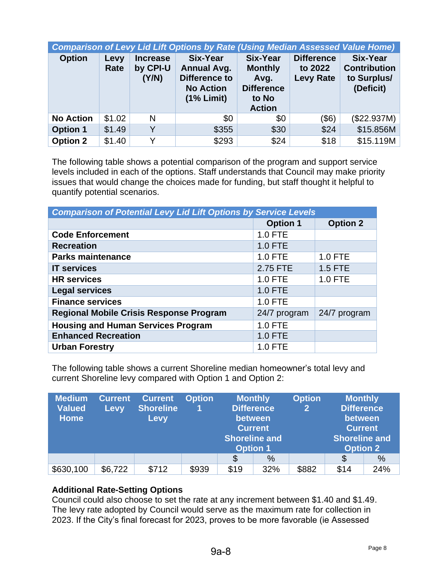| <b>Comparison of Levy Lid Lift Options by Rate (Using Median Assessed Value Home)</b> |              |                                      |                                                                                            |                                                                                          |                                                  |                                                                    |  |  |
|---------------------------------------------------------------------------------------|--------------|--------------------------------------|--------------------------------------------------------------------------------------------|------------------------------------------------------------------------------------------|--------------------------------------------------|--------------------------------------------------------------------|--|--|
| <b>Option</b>                                                                         | Levy<br>Rate | <b>Increase</b><br>by CPI-U<br>(Y/N) | <b>Six-Year</b><br><b>Annual Avg.</b><br>Difference to<br><b>No Action</b><br>$(1%$ Limit) | <b>Six-Year</b><br><b>Monthly</b><br>Avg.<br><b>Difference</b><br>to No<br><b>Action</b> | <b>Difference</b><br>to 2022<br><b>Levy Rate</b> | <b>Six-Year</b><br><b>Contribution</b><br>to Surplus/<br>(Deficit) |  |  |
| <b>No Action</b>                                                                      | \$1.02       | N                                    | \$0                                                                                        | \$0                                                                                      | $($ \$6)                                         | (\$22.937M)                                                        |  |  |
| <b>Option 1</b>                                                                       | \$1.49       | Y                                    | \$355                                                                                      | \$30                                                                                     | \$24                                             | \$15.856M                                                          |  |  |
| <b>Option 2</b>                                                                       | \$1.40       | Y                                    | \$293                                                                                      | \$24                                                                                     | \$18                                             | \$15.119M                                                          |  |  |

The following table shows a potential comparison of the program and support service levels included in each of the options. Staff understands that Council may make priority issues that would change the choices made for funding, but staff thought it helpful to quantify potential scenarios.

| <b>Comparison of Potential Levy Lid Lift Options by Service Levels</b> |                 |                 |  |  |  |  |  |
|------------------------------------------------------------------------|-----------------|-----------------|--|--|--|--|--|
|                                                                        | <b>Option 1</b> | <b>Option 2</b> |  |  |  |  |  |
| <b>Code Enforcement</b>                                                | <b>1.0 FTE</b>  |                 |  |  |  |  |  |
| <b>Recreation</b>                                                      | 1.0 FTE         |                 |  |  |  |  |  |
| <b>Parks maintenance</b>                                               | 1.0 FTE         | $1.0$ FTE       |  |  |  |  |  |
| <b>IT services</b>                                                     | 2.75 FTE        | $1.5$ FTE       |  |  |  |  |  |
| <b>HR</b> services                                                     | 1.0 FTE         | 1.0 FTE         |  |  |  |  |  |
| <b>Legal services</b>                                                  | $1.0$ FTE       |                 |  |  |  |  |  |
| <b>Finance services</b>                                                | 1.0 FTE         |                 |  |  |  |  |  |
| <b>Regional Mobile Crisis Response Program</b>                         | 24/7 program    | 24/7 program    |  |  |  |  |  |
| <b>Housing and Human Services Program</b>                              | <b>1.0 FTE</b>  |                 |  |  |  |  |  |
| <b>Enhanced Recreation</b>                                             | <b>1.0 FTE</b>  |                 |  |  |  |  |  |
| <b>Urban Forestry</b>                                                  | 1.0 FTE         |                 |  |  |  |  |  |

The following table shows a current Shoreline median homeowner's total levy and current Shoreline levy compared with Option 1 and Option 2:

| <b>Medium</b><br><b>Valued</b><br><b>Home</b> | <b>Current</b><br><b>Levy</b> | <b>Current</b><br><b>Shoreline</b><br>Levy | <b>Option</b> | <b>Monthly</b><br><b>Shoreline and</b><br><b>Option 1</b> | <b>Difference</b><br>between<br><b>Current</b> | <b>Option</b><br>$\mathbf{2}$ | <b>Monthly</b><br><b>Difference</b><br>between<br><b>Current</b><br><b>Shoreline and</b><br><b>Option 2</b> |               |
|-----------------------------------------------|-------------------------------|--------------------------------------------|---------------|-----------------------------------------------------------|------------------------------------------------|-------------------------------|-------------------------------------------------------------------------------------------------------------|---------------|
|                                               |                               |                                            |               | \$                                                        | $\%$                                           |                               | \$                                                                                                          | $\frac{0}{0}$ |
| \$630,100                                     | \$6,722                       | \$712                                      | \$939         | \$19                                                      | 32%                                            | \$882                         | \$14                                                                                                        | 24%           |

## **Additional Rate-Setting Options**

Council could also choose to set the rate at any increment between \$1.40 and \$1.49. The levy rate adopted by Council would serve as the maximum rate for collection in 2023. If the City's final forecast for 2023, proves to be more favorable (ie Assessed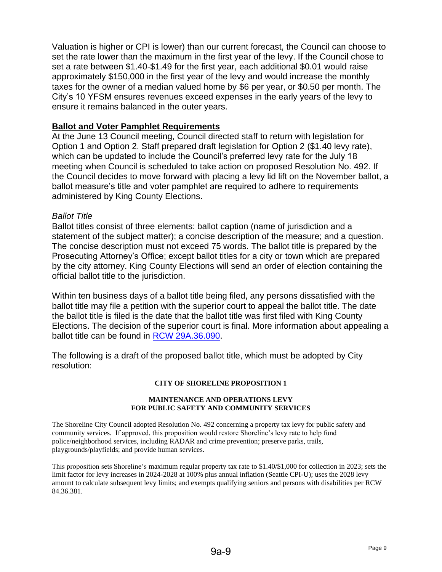Valuation is higher or CPI is lower) than our current forecast, the Council can choose to set the rate lower than the maximum in the first year of the levy. If the Council chose to set a rate between \$1.40-\$1.49 for the first year, each additional \$0.01 would raise approximately \$150,000 in the first year of the levy and would increase the monthly taxes for the owner of a median valued home by \$6 per year, or \$0.50 per month. The City's 10 YFSM ensures revenues exceed expenses in the early years of the levy to ensure it remains balanced in the outer years.

## **Ballot and Voter Pamphlet Requirements**

At the June 13 Council meeting, Council directed staff to return with legislation for Option 1 and Option 2. Staff prepared draft legislation for Option 2 (\$1.40 levy rate), which can be updated to include the Council's preferred levy rate for the July 18 meeting when Council is scheduled to take action on proposed Resolution No. 492. If the Council decides to move forward with placing a levy lid lift on the November ballot, a ballot measure's title and voter pamphlet are required to adhere to requirements administered by King County Elections.

## *Ballot Title*

Ballot titles consist of three elements: ballot caption (name of jurisdiction and a statement of the subject matter); a concise description of the measure; and a question. The concise description must not exceed 75 words. The ballot title is prepared by the Prosecuting Attorney's Office; except ballot titles for a city or town which are prepared by the city attorney. King County Elections will send an order of election containing the official ballot title to the jurisdiction.

Within ten business days of a ballot title being filed, any persons dissatisfied with the ballot title may file a petition with the superior court to appeal the ballot title. The date the ballot title is filed is the date that the ballot title was first filed with King County Elections. The decision of the superior court is final. More information about appealing a ballot title can be found in [RCW 29A.36.090.](https://app.leg.wa.gov/RCW/default.aspx?cite=29A.36.090.)

The following is a draft of the proposed ballot title, which must be adopted by City resolution:

#### **CITY OF SHORELINE PROPOSITION 1**

#### **MAINTENANCE AND OPERATIONS LEVY FOR PUBLIC SAFETY AND COMMUNITY SERVICES**

The Shoreline City Council adopted Resolution No. 492 concerning a property tax levy for public safety and community services. If approved, this proposition would restore Shoreline's levy rate to help fund police/neighborhood services, including RADAR and crime prevention; preserve parks, trails, playgrounds/playfields; and provide human services.

This proposition sets Shoreline's maximum regular property tax rate to \$1.40/\$1,000 for collection in 2023; sets the limit factor for levy increases in 2024-2028 at 100% plus annual inflation (Seattle CPI-U); uses the 2028 levy amount to calculate subsequent levy limits; and exempts qualifying seniors and persons with disabilities per RCW 84.36.381.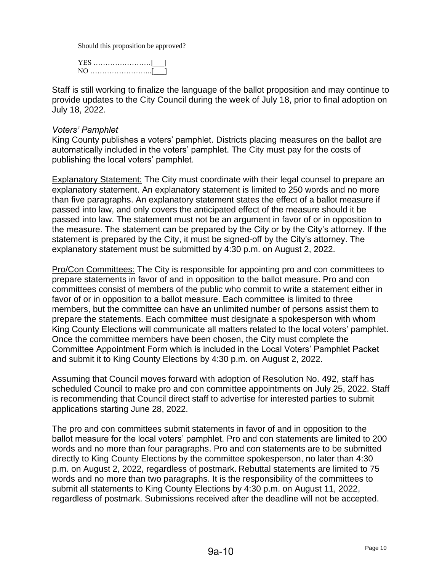Should this proposition be approved?

| NO |  |
|----|--|

Staff is still working to finalize the language of the ballot proposition and may continue to provide updates to the City Council during the week of July 18, prior to final adoption on July 18, 2022.

#### *Voters' Pamphlet*

King County publishes a voters' pamphlet. Districts placing measures on the ballot are automatically included in the voters' pamphlet. The City must pay for the costs of publishing the local voters' pamphlet.

Explanatory Statement: The City must coordinate with their legal counsel to prepare an explanatory statement. An explanatory statement is limited to 250 words and no more than five paragraphs. An explanatory statement states the effect of a ballot measure if passed into law, and only covers the anticipated effect of the measure should it be passed into law. The statement must not be an argument in favor of or in opposition to the measure. The statement can be prepared by the City or by the City's attorney. If the statement is prepared by the City, it must be signed-off by the City's attorney. The explanatory statement must be submitted by 4:30 p.m. on August 2, 2022.

Pro/Con Committees: The City is responsible for appointing pro and con committees to prepare statements in favor of and in opposition to the ballot measure. Pro and con committees consist of members of the public who commit to write a statement either in favor of or in opposition to a ballot measure. Each committee is limited to three members, but the committee can have an unlimited number of persons assist them to prepare the statements. Each committee must designate a spokesperson with whom King County Elections will communicate all matters related to the local voters' pamphlet. Once the committee members have been chosen, the City must complete the Committee Appointment Form which is included in the Local Voters' Pamphlet Packet and submit it to King County Elections by 4:30 p.m. on August 2, 2022.

Assuming that Council moves forward with adoption of Resolution No. 492, staff has scheduled Council to make pro and con committee appointments on July 25, 2022. Staff is recommending that Council direct staff to advertise for interested parties to submit applications starting June 28, 2022.

The pro and con committees submit statements in favor of and in opposition to the ballot measure for the local voters' pamphlet. Pro and con statements are limited to 200 words and no more than four paragraphs. Pro and con statements are to be submitted directly to King County Elections by the committee spokesperson, no later than 4:30 p.m. on August 2, 2022, regardless of postmark. Rebuttal statements are limited to 75 words and no more than two paragraphs. It is the responsibility of the committees to submit all statements to King County Elections by 4:30 p.m. on August 11, 2022, regardless of postmark. Submissions received after the deadline will not be accepted.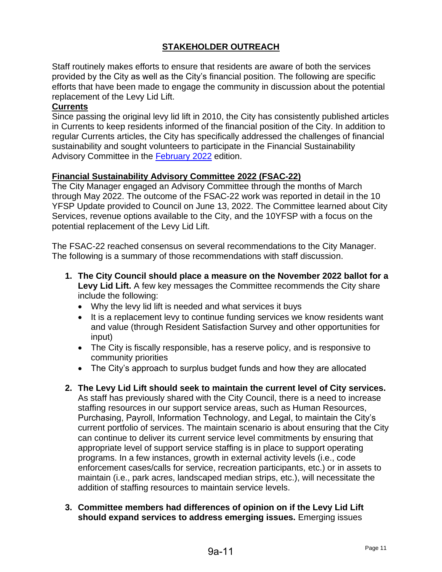# **STAKEHOLDER OUTREACH**

Staff routinely makes efforts to ensure that residents are aware of both the services provided by the City as well as the City's financial position. The following are specific efforts that have been made to engage the community in discussion about the potential replacement of the Levy Lid Lift.

### **Currents**

Since passing the original levy lid lift in 2010, the City has consistently published articles in Currents to keep residents informed of the financial position of the City. In addition to regular Currents articles, the City has specifically addressed the challenges of financial sustainability and sought volunteers to participate in the Financial Sustainability Advisory Committee in the [February](https://www.shorelinewa.gov/home/showpublisheddocument/54035/637792452523970000) 2022 edition.

## **Financial Sustainability Advisory Committee 2022 (FSAC-22)**

The City Manager engaged an Advisory Committee through the months of March through May 2022. The outcome of the FSAC-22 work was reported in detail in the 10 YFSP Update provided to Council on June 13, 2022. The Committee learned about City Services, revenue options available to the City, and the 10YFSP with a focus on the potential replacement of the Levy Lid Lift.

The FSAC-22 reached consensus on several recommendations to the City Manager. The following is a summary of those recommendations with staff discussion.

- **1. The City Council should place a measure on the November 2022 ballot for a Levy Lid Lift.** A few key messages the Committee recommends the City share include the following:
	- Why the levy lid lift is needed and what services it buys
	- It is a replacement levy to continue funding services we know residents want and value (through Resident Satisfaction Survey and other opportunities for input)
	- The City is fiscally responsible, has a reserve policy, and is responsive to community priorities
	- The City's approach to surplus budget funds and how they are allocated
- **2. The Levy Lid Lift should seek to maintain the current level of City services.** As staff has previously shared with the City Council, there is a need to increase staffing resources in our support service areas, such as Human Resources, Purchasing, Payroll, Information Technology, and Legal, to maintain the City's current portfolio of services. The maintain scenario is about ensuring that the City can continue to deliver its current service level commitments by ensuring that appropriate level of support service staffing is in place to support operating programs. In a few instances, growth in external activity levels (i.e., code enforcement cases/calls for service, recreation participants, etc.) or in assets to maintain (i.e., park acres, landscaped median strips, etc.), will necessitate the addition of staffing resources to maintain service levels.
- **3. Committee members had differences of opinion on if the Levy Lid Lift should expand services to address emerging issues.** Emerging issues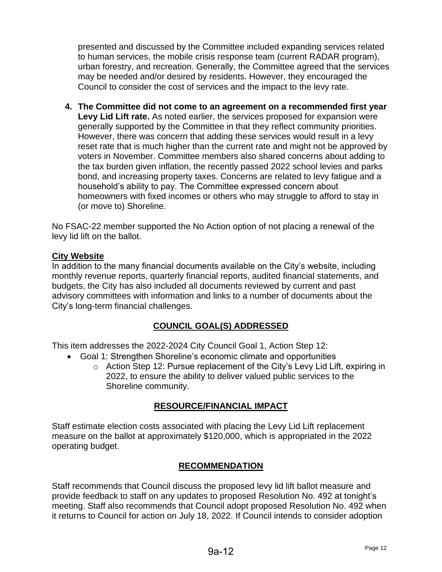presented and discussed by the Committee included expanding services related to human services, the mobile crisis response team (current RADAR program), urban forestry, and recreation. Generally, the Committee agreed that the services may be needed and/or desired by residents. However, they encouraged the Council to consider the cost of services and the impact to the levy rate.

**4. The Committee did not come to an agreement on a recommended first year Levy Lid Lift rate.** As noted earlier, the services proposed for expansion were generally supported by the Committee in that they reflect community priorities. However, there was concern that adding these services would result in a levy reset rate that is much higher than the current rate and might not be approved by voters in November. Committee members also shared concerns about adding to the tax burden given inflation, the recently passed 2022 school levies and parks bond, and increasing property taxes. Concerns are related to levy fatigue and a household's ability to pay. The Committee expressed concern about homeowners with fixed incomes or others who may struggle to afford to stay in (or move to) Shoreline.

No FSAC-22 member supported the No Action option of not placing a renewal of the levy lid lift on the ballot.

# **City Website**

In addition to the many financial documents available on the City's website, including monthly revenue reports, quarterly financial reports, audited financial statements, and budgets, the City has also included all documents reviewed by current and past advisory committees with information and links to a number of documents about the City's long-term financial challenges.

# **COUNCIL GOAL(S) ADDRESSED**

This item addresses the 2022-2024 City Council Goal 1, Action Step 12:

- Goal 1: Strengthen Shoreline's economic climate and opportunities
	- o Action Step 12: Pursue replacement of the City's Levy Lid Lift, expiring in 2022, to ensure the ability to deliver valued public services to the Shoreline community.

# **RESOURCE/FINANCIAL IMPACT**

Staff estimate election costs associated with placing the Levy Lid Lift replacement measure on the ballot at approximately \$120,000, which is appropriated in the 2022 operating budget.

# **RECOMMENDATION**

Staff recommends that Council discuss the proposed levy lid lift ballot measure and provide feedback to staff on any updates to proposed Resolution No. 492 at tonight's meeting. Staff also recommends that Council adopt proposed Resolution No. 492 when it returns to Council for action on July 18, 2022. If Council intends to consider adoption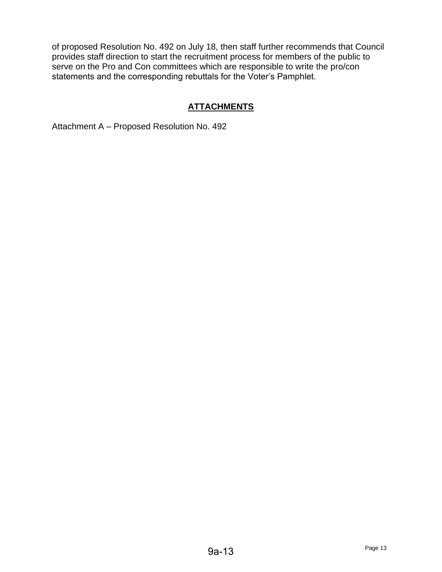of proposed Resolution No. 492 on July 18, then staff further recommends that Council provides staff direction to start the recruitment process for members of the public to serve on the Pro and Con committees which are responsible to write the pro/con statements and the corresponding rebuttals for the Voter's Pamphlet.

# **ATTACHMENTS**

Attachment A – Proposed Resolution No. 492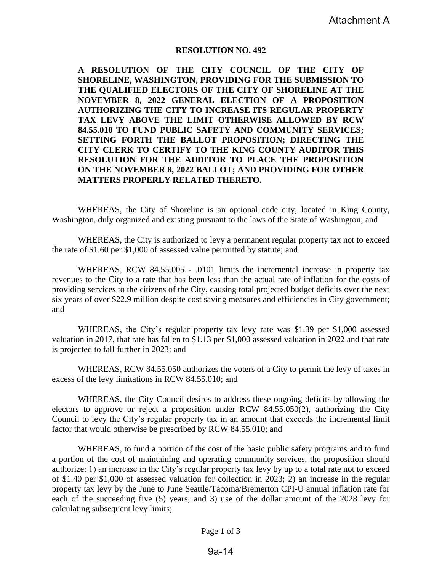#### **RESOLUTION NO. 492**

**A RESOLUTION OF THE CITY COUNCIL OF THE CITY OF SHORELINE, WASHINGTON, PROVIDING FOR THE SUBMISSION TO THE QUALIFIED ELECTORS OF THE CITY OF SHORELINE AT THE NOVEMBER 8, 2022 GENERAL ELECTION OF A PROPOSITION AUTHORIZING THE CITY TO INCREASE ITS REGULAR PROPERTY TAX LEVY ABOVE THE LIMIT OTHERWISE ALLOWED BY RCW 84.55.010 TO FUND PUBLIC SAFETY AND COMMUNITY SERVICES; SETTING FORTH THE BALLOT PROPOSITION; DIRECTING THE CITY CLERK TO CERTIFY TO THE KING COUNTY AUDITOR THIS RESOLUTION FOR THE AUDITOR TO PLACE THE PROPOSITION ON THE NOVEMBER 8, 2022 BALLOT; AND PROVIDING FOR OTHER MATTERS PROPERLY RELATED THERETO.**

WHEREAS, the City of Shoreline is an optional code city, located in King County, Washington, duly organized and existing pursuant to the laws of the State of Washington; and

WHEREAS, the City is authorized to levy a permanent regular property tax not to exceed the rate of \$1.60 per \$1,000 of assessed value permitted by statute; and

WHEREAS, RCW 84.55.005 - .0101 limits the incremental increase in property tax revenues to the City to a rate that has been less than the actual rate of inflation for the costs of providing services to the citizens of the City, causing total projected budget deficits over the next six years of over \$22.9 million despite cost saving measures and efficiencies in City government; and

WHEREAS, the City's regular property tax levy rate was \$1.39 per \$1,000 assessed valuation in 2017, that rate has fallen to \$1.13 per \$1,000 assessed valuation in 2022 and that rate is projected to fall further in 2023; and

WHEREAS, RCW 84.55.050 authorizes the voters of a City to permit the levy of taxes in excess of the levy limitations in RCW 84.55.010; and

WHEREAS, the City Council desires to address these ongoing deficits by allowing the electors to approve or reject a proposition under RCW 84.55.050(2), authorizing the City Council to levy the City's regular property tax in an amount that exceeds the incremental limit factor that would otherwise be prescribed by RCW 84.55.010; and

WHEREAS, to fund a portion of the cost of the basic public safety programs and to fund a portion of the cost of maintaining and operating community services, the proposition should authorize: 1) an increase in the City's regular property tax levy by up to a total rate not to exceed of \$1.40 per \$1,000 of assessed valuation for collection in 2023; 2) an increase in the regular property tax levy by the June to June Seattle/Tacoma/Bremerton CPI-U annual inflation rate for each of the succeeding five (5) years; and 3) use of the dollar amount of the 2028 levy for calculating subsequent levy limits;

Page 1 of 3

# 9a-14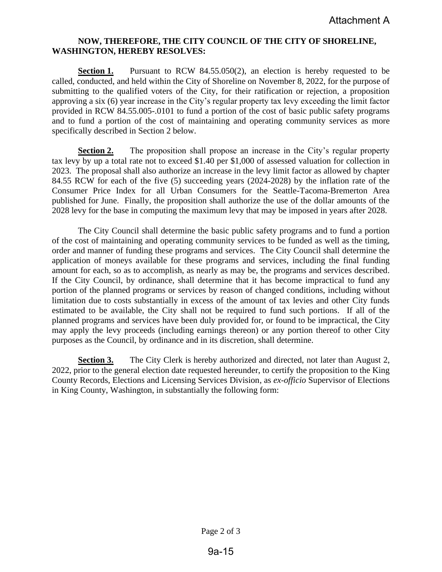#### **NOW, THEREFORE, THE CITY COUNCIL OF THE CITY OF SHORELINE, WASHINGTON, HEREBY RESOLVES:**

**Section 1.** Pursuant to RCW 84.55.050(2), an election is hereby requested to be called, conducted, and held within the City of Shoreline on November 8, 2022, for the purpose of submitting to the qualified voters of the City, for their ratification or rejection, a proposition approving a six (6) year increase in the City's regular property tax levy exceeding the limit factor provided in RCW 84.55.005-.0101 to fund a portion of the cost of basic public safety programs and to fund a portion of the cost of maintaining and operating community services as more specifically described in Section 2 below.

**Section 2.** The proposition shall propose an increase in the City's regular property tax levy by up a total rate not to exceed \$1.40 per \$1,000 of assessed valuation for collection in 2023. The proposal shall also authorize an increase in the levy limit factor as allowed by chapter 84.55 RCW for each of the five (5) succeeding years (2024-2028) by the inflation rate of the Consumer Price Index for all Urban Consumers for the Seattle-Tacoma-Bremerton Area published for June. Finally, the proposition shall authorize the use of the dollar amounts of the 2028 levy for the base in computing the maximum levy that may be imposed in years after 2028.

The City Council shall determine the basic public safety programs and to fund a portion of the cost of maintaining and operating community services to be funded as well as the timing, order and manner of funding these programs and services. The City Council shall determine the application of moneys available for these programs and services, including the final funding amount for each, so as to accomplish, as nearly as may be, the programs and services described. If the City Council, by ordinance, shall determine that it has become impractical to fund any portion of the planned programs or services by reason of changed conditions, including without limitation due to costs substantially in excess of the amount of tax levies and other City funds estimated to be available, the City shall not be required to fund such portions. If all of the planned programs and services have been duly provided for, or found to be impractical, the City may apply the levy proceeds (including earnings thereon) or any portion thereof to other City purposes as the Council, by ordinance and in its discretion, shall determine.

**Section 3.** The City Clerk is hereby authorized and directed, not later than August 2, 2022, prior to the general election date requested hereunder, to certify the proposition to the King County Records, Elections and Licensing Services Division, as *ex-officio* Supervisor of Elections in King County, Washington, in substantially the following form: